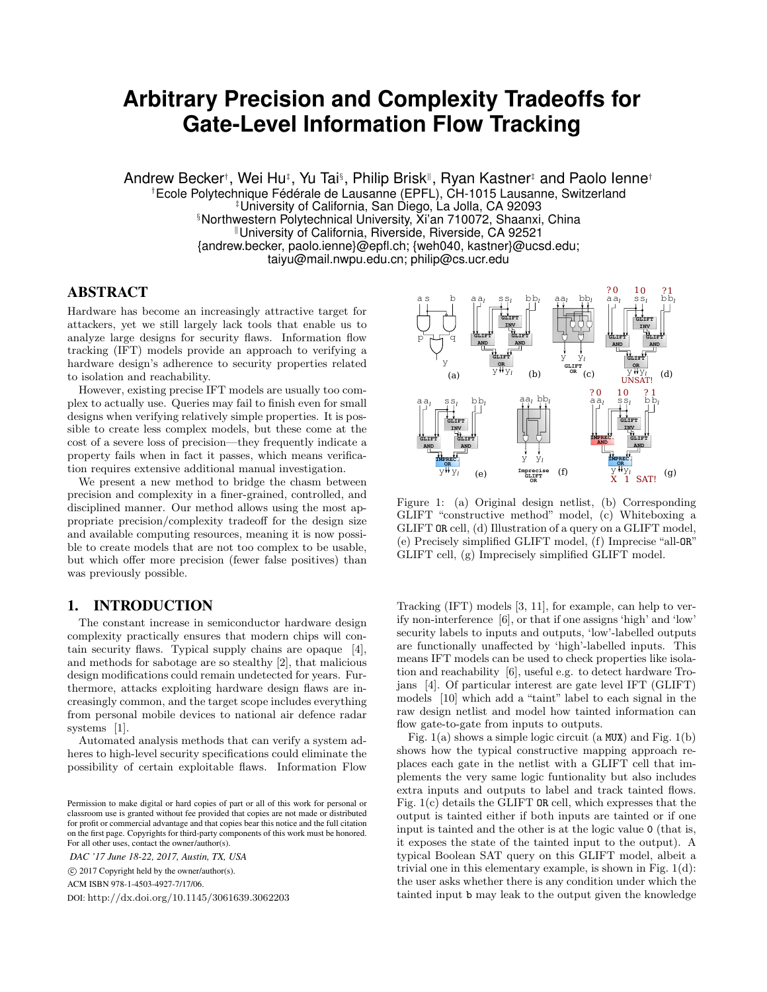# **Arbitrary Precision and Complexity Tradeoffs for Gate-Level Information Flow Tracking**

Andrew Becker†, Wei Hu‡, Yu Tai§, Philip Brisk‼, Ryan Kastner‡ and Paolo lenne† †Ecole Polytechnique Fédérale de Lausanne (EPFL), CH-1015 Lausanne, Switzerland ‡University of California, San Diego, La Jolla, CA 92093 §Northwestern Polytechnical University, Xi'an 710072, Shaanxi, China University of California, Riverside, Riverside, CA 92521 {andrew.becker, paolo.ienne}@epfl.ch; {weh040, kastner}@ucsd.edu; taiyu@mail.nwpu.edu.cn; philip@cs.ucr.edu

# ABSTRACT

Hardware has become an increasingly attractive target for attackers, yet we still largely lack tools that enable us to analyze large designs for security flaws. Information flow tracking (IFT) models provide an approach to verifying a hardware design's adherence to security properties related to isolation and reachability.

However, existing precise IFT models are usually too complex to actually use. Queries may fail to finish even for small designs when verifying relatively simple properties. It is possible to create less complex models, but these come at the cost of a severe loss of precision—they frequently indicate a property fails when in fact it passes, which means verification requires extensive additional manual investigation.

We present a new method to bridge the chasm between precision and complexity in a finer-grained, controlled, and disciplined manner. Our method allows using the most appropriate precision/complexity tradeoff for the design size and available computing resources, meaning it is now possible to create models that are not too complex to be usable, but which offer more precision (fewer false positives) than was previously possible.

# 1. INTRODUCTION

The constant increase in semiconductor hardware design complexity practically ensures that modern chips will contain security flaws. Typical supply chains are opaque [4], and methods for sabotage are so stealthy [2], that malicious design modifications could remain undetected for years. Furthermore, attacks exploiting hardware design flaws are increasingly common, and the target scope includes everything from personal mobile devices to national air defence radar systems [1].

Automated analysis methods that can verify a system adheres to high-level security specifications could eliminate the possibility of certain exploitable flaws. Information Flow

*DAC '17 June 18-22, 2017, Austin, TX, USA*

c 2017 Copyright held by the owner/author(s).

ACM ISBN 978-1-4503-4927-7/17/06.

DOI: http://dx.doi.org/10.1145/3061639.3062203



Figure 1: (a) Original design netlist, (b) Corresponding GLIFT "constructive method" model, (c) Whiteboxing a GLIFT OR cell, (d) Illustration of a query on a GLIFT model, (e) Precisely simplified GLIFT model, (f) Imprecise "all-OR" GLIFT cell, (g) Imprecisely simplified GLIFT model.

Tracking (IFT) models [3, 11], for example, can help to verify non-interference [6], or that if one assigns 'high' and 'low' security labels to inputs and outputs, 'low'-labelled outputs are functionally unaffected by 'high'-labelled inputs. This means IFT models can be used to check properties like isolation and reachability [6], useful e.g. to detect hardware Trojans [4]. Of particular interest are gate level IFT (GLIFT) models [10] which add a "taint" label to each signal in the raw design netlist and model how tainted information can flow gate-to-gate from inputs to outputs.

Fig.  $1(a)$  shows a simple logic circuit (a MUX) and Fig.  $1(b)$ shows how the typical constructive mapping approach replaces each gate in the netlist with a GLIFT cell that implements the very same logic funtionality but also includes extra inputs and outputs to label and track tainted flows. Fig. 1(c) details the GLIFT OR cell, which expresses that the output is tainted either if both inputs are tainted or if one input is tainted and the other is at the logic value 0 (that is, it exposes the state of the tainted input to the output). A typical Boolean SAT query on this GLIFT model, albeit a trivial one in this elementary example, is shown in Fig. 1(d): the user asks whether there is any condition under which the tainted input b may leak to the output given the knowledge

Permission to make digital or hard copies of part or all of this work for personal or classroom use is granted without fee provided that copies are not made or distributed for profit or commercial advantage and that copies bear this notice and the full citation on the first page. Copyrights for third-party components of this work must be honored. For all other uses, contact the owner/author(s).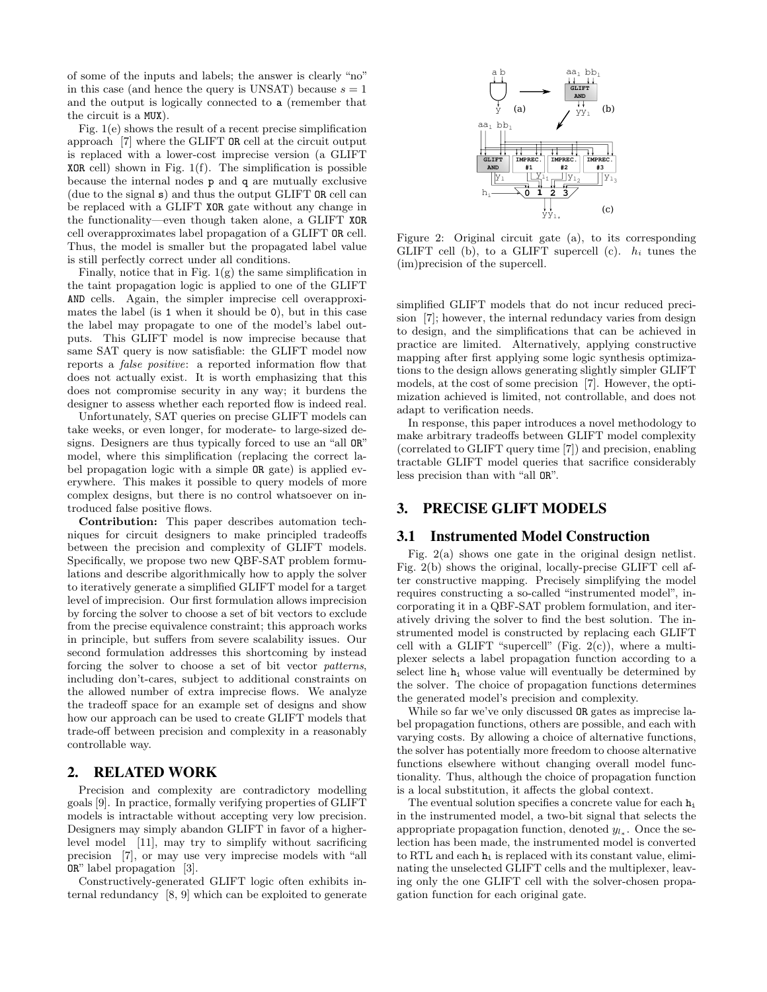of some of the inputs and labels; the answer is clearly "no" in this case (and hence the query is UNSAT) because  $s = 1$ and the output is logically connected to a (remember that the circuit is a MUX).

Fig. 1(e) shows the result of a recent precise simplification approach [7] where the GLIFT OR cell at the circuit output is replaced with a lower-cost imprecise version (a GLIFT **XOR** cell) shown in Fig.  $1(f)$ . The simplification is possible because the internal nodes p and q are mutually exclusive (due to the signal s) and thus the output GLIFT OR cell can be replaced with a GLIFT XOR gate without any change in the functionality—even though taken alone, a GLIFT XOR cell overapproximates label propagation of a GLIFT OR cell. Thus, the model is smaller but the propagated label value is still perfectly correct under all conditions.

Finally, notice that in Fig.  $1(g)$  the same simplification in the taint propagation logic is applied to one of the GLIFT AND cells. Again, the simpler imprecise cell overapproximates the label (is 1 when it should be 0), but in this case the label may propagate to one of the model's label outputs. This GLIFT model is now imprecise because that same SAT query is now satisfiable: the GLIFT model now reports a false positive: a reported information flow that does not actually exist. It is worth emphasizing that this does not compromise security in any way; it burdens the designer to assess whether each reported flow is indeed real.

Unfortunately, SAT queries on precise GLIFT models can take weeks, or even longer, for moderate- to large-sized designs. Designers are thus typically forced to use an "all OR" model, where this simplification (replacing the correct label propagation logic with a simple OR gate) is applied everywhere. This makes it possible to query models of more complex designs, but there is no control whatsoever on introduced false positive flows.

Contribution: This paper describes automation techniques for circuit designers to make principled tradeoffs between the precision and complexity of GLIFT models. Specifically, we propose two new QBF-SAT problem formulations and describe algorithmically how to apply the solver to iteratively generate a simplified GLIFT model for a target level of imprecision. Our first formulation allows imprecision by forcing the solver to choose a set of bit vectors to exclude from the precise equivalence constraint; this approach works in principle, but suffers from severe scalability issues. Our second formulation addresses this shortcoming by instead forcing the solver to choose a set of bit vector patterns, including don't-cares, subject to additional constraints on the allowed number of extra imprecise flows. We analyze the tradeoff space for an example set of designs and show how our approach can be used to create GLIFT models that trade-off between precision and complexity in a reasonably controllable way.

# 2. RELATED WORK

Precision and complexity are contradictory modelling goals [9]. In practice, formally verifying properties of GLIFT models is intractable without accepting very low precision. Designers may simply abandon GLIFT in favor of a higherlevel model [11], may try to simplify without sacrificing precision [7], or may use very imprecise models with "all OR" label propagation [3].

Constructively-generated GLIFT logic often exhibits internal redundancy [8, 9] which can be exploited to generate



Figure 2: Original circuit gate (a), to its corresponding GLIFT cell (b), to a GLIFT supercell (c).  $h_i$  tunes the (im)precision of the supercell.

simplified GLIFT models that do not incur reduced precision [7]; however, the internal redundacy varies from design to design, and the simplifications that can be achieved in practice are limited. Alternatively, applying constructive mapping after first applying some logic synthesis optimizations to the design allows generating slightly simpler GLIFT models, at the cost of some precision [7]. However, the optimization achieved is limited, not controllable, and does not adapt to verification needs.

In response, this paper introduces a novel methodology to make arbitrary tradeoffs between GLIFT model complexity (correlated to GLIFT query time [7]) and precision, enabling tractable GLIFT model queries that sacrifice considerably less precision than with "all OR".

# 3. PRECISE GLIFT MODELS

#### 3.1 Instrumented Model Construction

Fig. 2(a) shows one gate in the original design netlist. Fig. 2(b) shows the original, locally-precise GLIFT cell after constructive mapping. Precisely simplifying the model requires constructing a so-called "instrumented model", incorporating it in a QBF-SAT problem formulation, and iteratively driving the solver to find the best solution. The instrumented model is constructed by replacing each GLIFT cell with a GLIFT "supercell" (Fig.  $2(c)$ ), where a multiplexer selects a label propagation function according to a select line  $h_i$  whose value will eventually be determined by the solver. The choice of propagation functions determines the generated model's precision and complexity.

While so far we've only discussed OR gates as imprecise label propagation functions, others are possible, and each with varying costs. By allowing a choice of alternative functions, the solver has potentially more freedom to choose alternative functions elsewhere without changing overall model functionality. Thus, although the choice of propagation function is a local substitution, it affects the global context.

The eventual solution specifies a concrete value for each  $h_i$ in the instrumented model, a two-bit signal that selects the appropriate propagation function, denoted  $y_{l_*}$ . Once the selection has been made, the instrumented model is converted to RTL and each  $h_i$  is replaced with its constant value, eliminating the unselected GLIFT cells and the multiplexer, leaving only the one GLIFT cell with the solver-chosen propagation function for each original gate.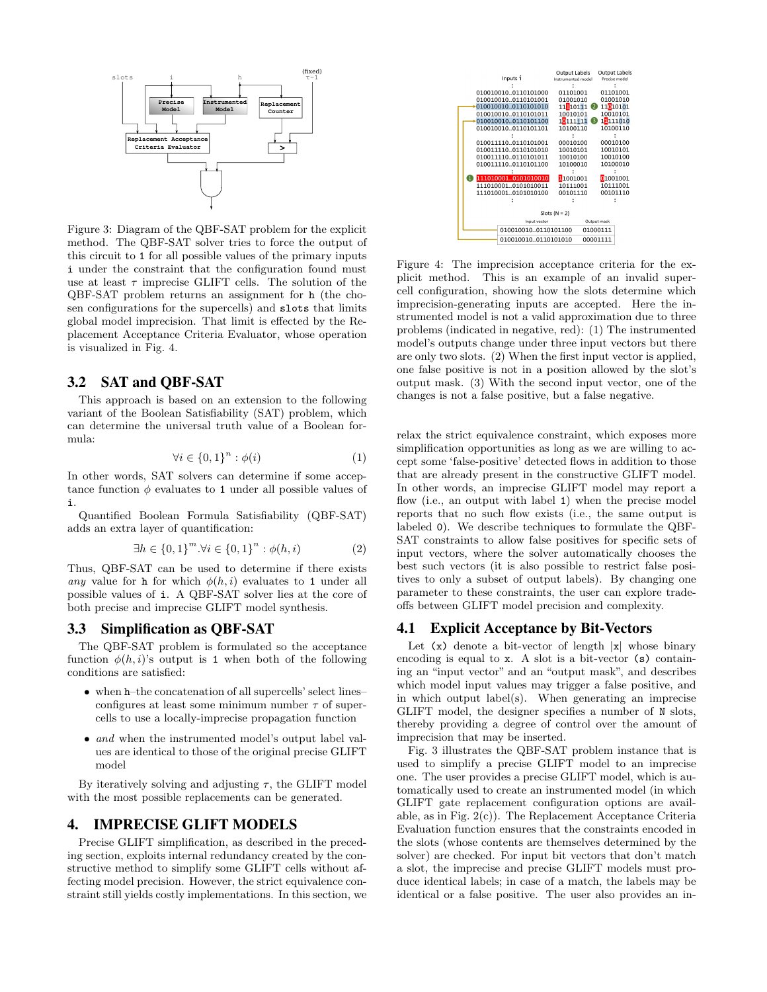

Figure 3: Diagram of the QBF-SAT problem for the explicit method. The QBF-SAT solver tries to force the output of this circuit to 1 for all possible values of the primary inputs i under the constraint that the configuration found must use at least  $\tau$  imprecise GLIFT cells. The solution of the QBF-SAT problem returns an assignment for h (the chosen configurations for the supercells) and slots that limits global model imprecision. That limit is effected by the Replacement Acceptance Criteria Evaluator, whose operation is visualized in Fig. 4.

# 3.2 SAT and QBF-SAT

This approach is based on an extension to the following variant of the Boolean Satisfiability (SAT) problem, which can determine the universal truth value of a Boolean formula:

$$
\forall i \in \{0,1\}^n : \phi(i) \tag{1}
$$

In other words, SAT solvers can determine if some acceptance function  $\phi$  evaluates to 1 under all possible values of i.

Quantified Boolean Formula Satisfiability (QBF-SAT) adds an extra layer of quantification:

$$
\exists h \in \{0, 1\}^m. \forall i \in \{0, 1\}^n : \phi(h, i)
$$
 (2)

Thus, QBF-SAT can be used to determine if there exists any value for h for which  $\phi(h, i)$  evaluates to 1 under all possible values of i. A QBF-SAT solver lies at the core of both precise and imprecise GLIFT model synthesis.

#### 3.3 Simplification as QBF-SAT

The QBF-SAT problem is formulated so the acceptance function  $\phi(h, i)$ 's output is 1 when both of the following conditions are satisfied:

- when h–the concatenation of all supercells' select lines– configures at least some minimum number  $\tau$  of supercells to use a locally-imprecise propagation function
- and when the instrumented model's output label values are identical to those of the original precise GLIFT model

By iteratively solving and adjusting  $\tau$ , the GLIFT model with the most possible replacements can be generated.

### 4. IMPRECISE GLIFT MODELS

Precise GLIFT simplification, as described in the preceding section, exploits internal redundancy created by the constructive method to simplify some GLIFT cells without affecting model precision. However, the strict equivalence constraint still yields costly implementations. In this section, we



Figure 4: The imprecision acceptance criteria for the explicit method. This is an example of an invalid supercell configuration, showing how the slots determine which imprecision-generating inputs are accepted. Here the instrumented model is not a valid approximation due to three problems (indicated in negative, red): (1) The instrumented model's outputs change under three input vectors but there are only two slots. (2) When the first input vector is applied, one false positive is not in a position allowed by the slot's output mask. (3) With the second input vector, one of the changes is not a false positive, but a false negative.

relax the strict equivalence constraint, which exposes more simplification opportunities as long as we are willing to accept some 'false-positive' detected flows in addition to those that are already present in the constructive GLIFT model. In other words, an imprecise GLIFT model may report a flow (i.e., an output with label 1) when the precise model reports that no such flow exists (i.e., the same output is labeled 0). We describe techniques to formulate the QBF-SAT constraints to allow false positives for specific sets of input vectors, where the solver automatically chooses the best such vectors (it is also possible to restrict false positives to only a subset of output labels). By changing one parameter to these constraints, the user can explore tradeoffs between GLIFT model precision and complexity.

#### 4.1 Explicit Acceptance by Bit-Vectors

Let  $(x)$  denote a bit-vector of length  $|x|$  whose binary encoding is equal to x. A slot is a bit-vector (s) containing an "input vector" and an "output mask", and describes which model input values may trigger a false positive, and in which output label(s). When generating an imprecise GLIFT model, the designer specifies a number of N slots, thereby providing a degree of control over the amount of imprecision that may be inserted.

Fig. 3 illustrates the QBF-SAT problem instance that is used to simplify a precise GLIFT model to an imprecise one. The user provides a precise GLIFT model, which is automatically used to create an instrumented model (in which GLIFT gate replacement configuration options are available, as in Fig. 2(c)). The Replacement Acceptance Criteria Evaluation function ensures that the constraints encoded in the slots (whose contents are themselves determined by the solver) are checked. For input bit vectors that don't match a slot, the imprecise and precise GLIFT models must produce identical labels; in case of a match, the labels may be identical or a false positive. The user also provides an in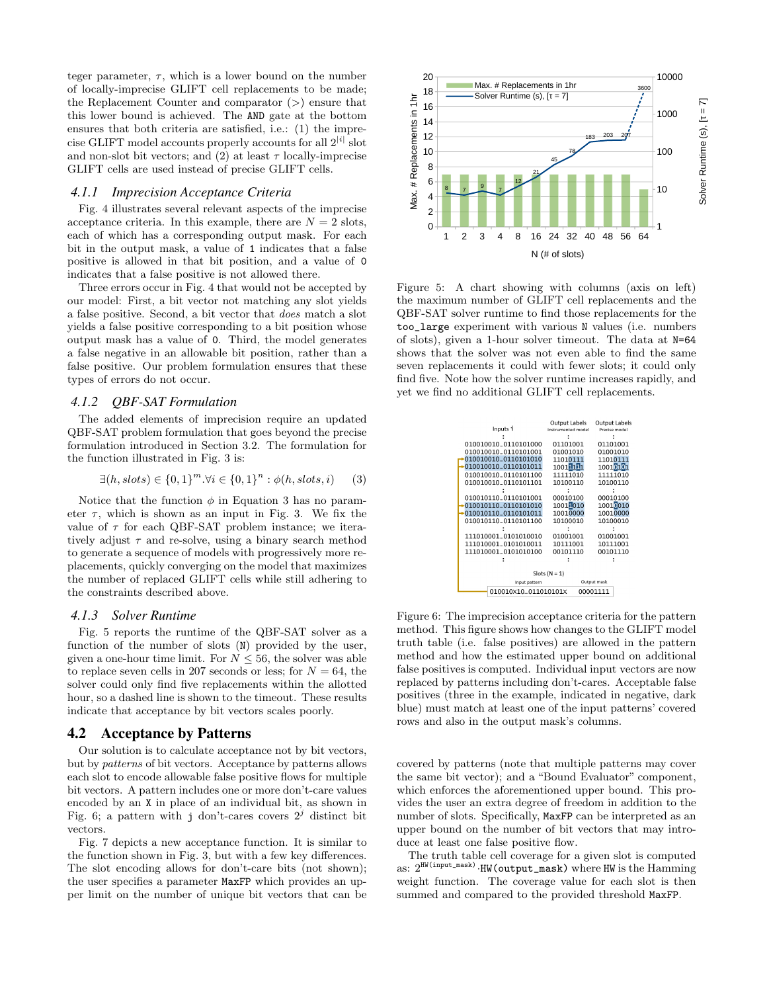teger parameter,  $\tau$ , which is a lower bound on the number of locally-imprecise GLIFT cell replacements to be made; the Replacement Counter and comparator  $(>)$  ensure that this lower bound is achieved. The AND gate at the bottom ensures that both criteria are satisfied, i.e.: (1) the imprecise GLIFT model accounts properly accounts for all  $2^{|i|}$  slot and non-slot bit vectors; and (2) at least  $\tau$  locally-imprecise GLIFT cells are used instead of precise GLIFT cells.

#### *4.1.1 Imprecision Acceptance Criteria*

Fig. 4 illustrates several relevant aspects of the imprecise acceptance criteria. In this example, there are  $N = 2$  slots, each of which has a corresponding output mask. For each bit in the output mask, a value of 1 indicates that a false positive is allowed in that bit position, and a value of 0 indicates that a false positive is not allowed there.

Three errors occur in Fig. 4 that would not be accepted by our model: First, a bit vector not matching any slot yields a false positive. Second, a bit vector that does match a slot yields a false positive corresponding to a bit position whose output mask has a value of 0. Third, the model generates a false negative in an allowable bit position, rather than a false positive. Our problem formulation ensures that these types of errors do not occur.

#### *4.1.2 QBF-SAT Formulation*

The added elements of imprecision require an updated QBF-SAT problem formulation that goes beyond the precise formulation introduced in Section 3.2. The formulation for the function illustrated in Fig. 3 is:

$$
\exists (h, slots) \in \{0, 1\}^m. \forall i \in \{0, 1\}^n : \phi(h, slots, i) \tag{3}
$$

Notice that the function  $\phi$  in Equation 3 has no parameter  $\tau$ , which is shown as an input in Fig. 3. We fix the value of  $\tau$  for each QBF-SAT problem instance; we iteratively adjust  $\tau$  and re-solve, using a binary search method to generate a sequence of models with progressively more replacements, quickly converging on the model that maximizes the number of replaced GLIFT cells while still adhering to the constraints described above.

#### *4.1.3 Solver Runtime*

Fig. 5 reports the runtime of the QBF-SAT solver as a function of the number of slots (N) provided by the user, given a one-hour time limit. For  $N \leq 56$ , the solver was able to replace seven cells in 207 seconds or less; for  $N = 64$ , the solver could only find five replacements within the allotted hour, so a dashed line is shown to the timeout. These results indicate that acceptance by bit vectors scales poorly.

#### 4.2 Acceptance by Patterns

Our solution is to calculate acceptance not by bit vectors, but by patterns of bit vectors. Acceptance by patterns allows each slot to encode allowable false positive flows for multiple bit vectors. A pattern includes one or more don't-care values encoded by an X in place of an individual bit, as shown in Fig. 6; a pattern with j don't-cares covers  $2<sup>j</sup>$  distinct bit vectors.

Fig. 7 depicts a new acceptance function. It is similar to the function shown in Fig. 3, but with a few key differences. The slot encoding allows for don't-care bits (not shown); the user specifies a parameter MaxFP which provides an upper limit on the number of unique bit vectors that can be



Figure 5: A chart showing with columns (axis on left) the maximum number of GLIFT cell replacements and the QBF-SAT solver runtime to find those replacements for the too\_large experiment with various N values (i.e. numbers of slots), given a 1-hour solver timeout. The data at N=64 shows that the solver was not even able to find the same seven replacements it could with fewer slots; it could only find five. Note how the solver runtime increases rapidly, and yet we find no additional GLIFT cell replacements.

|                                 | Output Labels      | <b>Output Labels</b> |
|---------------------------------|--------------------|----------------------|
| Inputs i                        | Instrumented model | Precise model        |
|                                 |                    |                      |
| 0100100100110101000             | 01101001           | 01101001             |
| 0100100100110101001             | 01001010           | 01001010             |
| 0100100100110101010             | 11010111           | 11010111             |
| 0100100100110101011             | 10011111           | 10010101             |
| 0100100100110101100             | 11111010           | 11111010             |
| 010010010  0110101101           | 10100110           | 10100110             |
|                                 |                    |                      |
| 0100101100110101001             | 00010100           | 00010100             |
| 0100101100110101010             | 10011010           | 10010010             |
| 0100101100110101011             | 10010000           | 10010000             |
| 0100101100110101100             | 10100010           | 10100010             |
|                                 |                    |                      |
| 1110100010101010010             | 01001001           | 01001001             |
| 1110100010101010011             | 10111001           | 10111001             |
| 1110100010101010100             | 00101110           | 00101110             |
|                                 |                    |                      |
|                                 |                    |                      |
| Slots $(N = 1)$                 |                    |                      |
| Input pattern                   | Output mask        |                      |
| 010010×10011010101×<br>00001111 |                    |                      |

Figure 6: The imprecision acceptance criteria for the pattern method. This figure shows how changes to the GLIFT model truth table (i.e. false positives) are allowed in the pattern method and how the estimated upper bound on additional false positives is computed. Individual input vectors are now replaced by patterns including don't-cares. Acceptable false positives (three in the example, indicated in negative, dark blue) must match at least one of the input patterns' covered rows and also in the output mask's columns.

covered by patterns (note that multiple patterns may cover the same bit vector); and a "Bound Evaluator" component, which enforces the aforementioned upper bound. This provides the user an extra degree of freedom in addition to the number of slots. Specifically, MaxFP can be interpreted as an upper bound on the number of bit vectors that may introduce at least one false positive flow.

The truth table cell coverage for a given slot is computed as:  $2^{\text{HW}(input\_mask)}$  ·HW (output\_mask) where HW is the Hamming weight function. The coverage value for each slot is then summed and compared to the provided threshold MaxFP.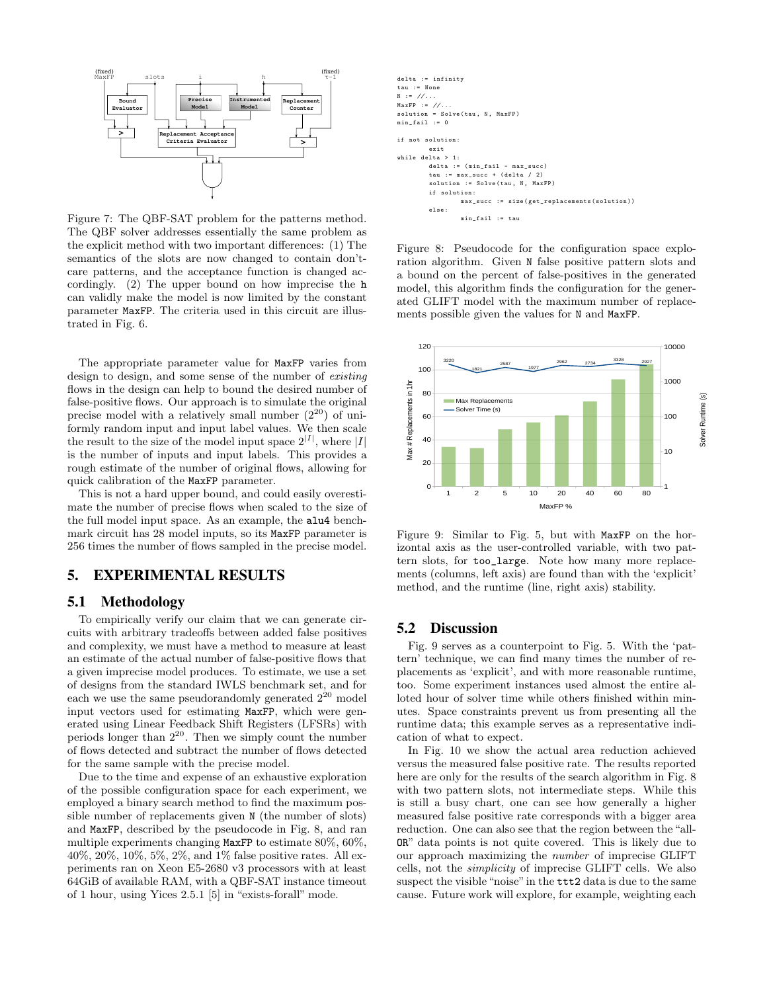

Figure 7: The QBF-SAT problem for the patterns method. The QBF solver addresses essentially the same problem as the explicit method with two important differences: (1) The semantics of the slots are now changed to contain don'tcare patterns, and the acceptance function is changed accordingly. (2) The upper bound on how imprecise the h can validly make the model is now limited by the constant parameter MaxFP. The criteria used in this circuit are illustrated in Fig. 6.

The appropriate parameter value for MaxFP varies from design to design, and some sense of the number of existing flows in the design can help to bound the desired number of false-positive flows. Our approach is to simulate the original precise model with a relatively small number  $(2^{20})$  of uniformly random input and input label values. We then scale the result to the size of the model input space  $2^{|I|}$ , where |I| is the number of inputs and input labels. This provides a rough estimate of the number of original flows, allowing for quick calibration of the MaxFP parameter.

This is not a hard upper bound, and could easily overestimate the number of precise flows when scaled to the size of the full model input space. As an example, the alu4 benchmark circuit has 28 model inputs, so its MaxFP parameter is 256 times the number of flows sampled in the precise model.

# 5. EXPERIMENTAL RESULTS

# 5.1 Methodology

To empirically verify our claim that we can generate circuits with arbitrary tradeoffs between added false positives and complexity, we must have a method to measure at least an estimate of the actual number of false-positive flows that a given imprecise model produces. To estimate, we use a set of designs from the standard IWLS benchmark set, and for each we use the same pseudorandomly generated  $2^{20}$  model input vectors used for estimating MaxFP, which were generated using Linear Feedback Shift Registers (LFSRs) with periods longer than  $2^{20}$ . Then we simply count the number of flows detected and subtract the number of flows detected for the same sample with the precise model.

Due to the time and expense of an exhaustive exploration of the possible configuration space for each experiment, we employed a binary search method to find the maximum possible number of replacements given N (the number of slots) and MaxFP, described by the pseudocode in Fig. 8, and ran multiple experiments changing MaxFP to estimate 80%, 60%, 40%, 20%, 10%, 5%, 2%, and 1% false positive rates. All experiments ran on Xeon E5-2680 v3 processors with at least 64GiB of available RAM, with a QBF-SAT instance timeout of 1 hour, using Yices 2.5.1 [5] in "exists-forall" mode.



Figure 8: Pseudocode for the configuration space exploration algorithm. Given N false positive pattern slots and a bound on the percent of false-positives in the generated model, this algorithm finds the configuration for the generated GLIFT model with the maximum number of replacements possible given the values for N and MaxFP.



Figure 9: Similar to Fig. 5, but with MaxFP on the horizontal axis as the user-controlled variable, with two pattern slots, for too\_large. Note how many more replacements (columns, left axis) are found than with the 'explicit' method, and the runtime (line, right axis) stability.

## 5.2 Discussion

Fig. 9 serves as a counterpoint to Fig. 5. With the 'pattern' technique, we can find many times the number of replacements as 'explicit', and with more reasonable runtime, too. Some experiment instances used almost the entire alloted hour of solver time while others finished within minutes. Space constraints prevent us from presenting all the runtime data; this example serves as a representative indication of what to expect.

In Fig. 10 we show the actual area reduction achieved versus the measured false positive rate. The results reported here are only for the results of the search algorithm in Fig. 8 with two pattern slots, not intermediate steps. While this is still a busy chart, one can see how generally a higher measured false positive rate corresponds with a bigger area reduction. One can also see that the region between the "all-OR" data points is not quite covered. This is likely due to our approach maximizing the number of imprecise GLIFT cells, not the simplicity of imprecise GLIFT cells. We also suspect the visible "noise"in the ttt2 data is due to the same cause. Future work will explore, for example, weighting each